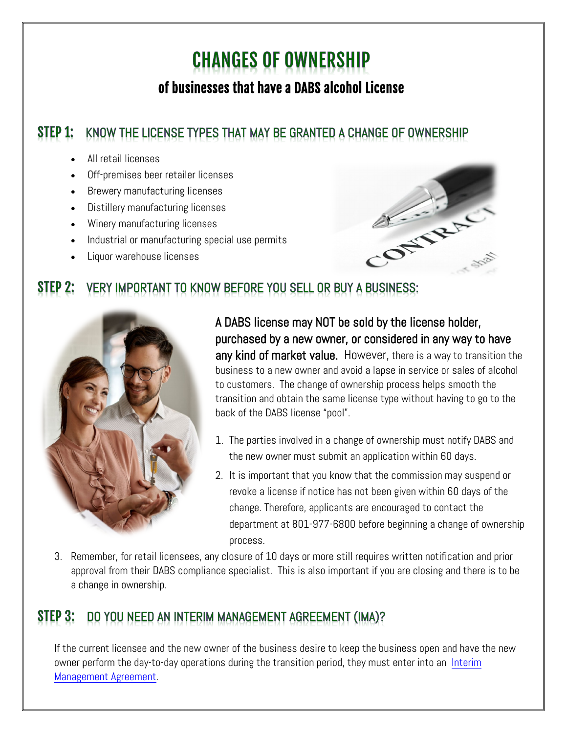# **CHANGES OF OWNERSHIP** of businesses that have a DABS alcohol License

#### STEP 1: KNOW THE LICENSE TYPES THAT MAY BE GRANTED A CHANGE OF OWNERSHIP

- All retail licenses
- Off-premises beer retailer licenses
- Brewery manufacturing licenses
- Distillery manufacturing licenses
- Winery manufacturing licenses
- Industrial or manufacturing special use permits
- Liquor warehouse licenses



#### STEP 2: VERY IMPORTANT TO KNOW BEFORE YOU SELL OR BUY A BUSINESS:



A DABS license may NOT be sold by the license holder, purchased by a new owner, or considered in any way to have any kind of market value. However, there is a way to transition the business to a new owner and avoid a lapse in service or sales of alcohol to customers. The change of ownership process helps smooth the transition and obtain the same license type without having to go to the back of the DABS license "pool".

- 1. The parties involved in a change of ownership must notify DABS and the new owner must submit an application within 60 days.
- 2. It is important that you know that the commission may suspend or revoke a license if notice has not been given within 60 days of the change. Therefore, applicants are encouraged to contact the department at 801-977-6800 before beginning a change of ownership process.
- 3. Remember, for retail licensees, any closure of 10 days or more still requires written notification and prior approval from their DABS compliance specialist. This is also important if you are closing and there is to be a change in ownership.

### DO YOU NEED AN INTERIM MANAGEMENT AGREEMENT (IMA)?

If the current licensee and the new owner of the business desire to keep the business open and have the new owner perform the day-to-day operations during the transition period, they must enter into an Interim [Management Agreement.](https://abc.utah.gov/wp-content/uploads/Compliance/HotTopics/Interim-Alcoholic-Beverage-Management-Agreements.pdf)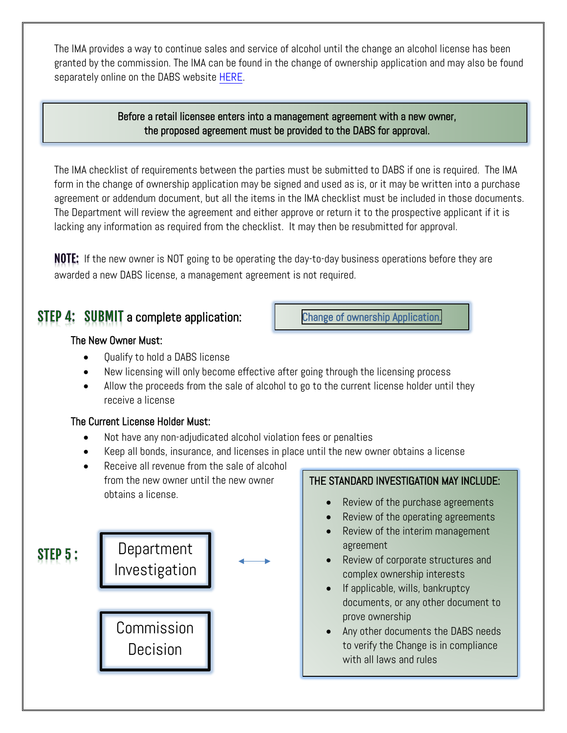The IMA provides a way to continue sales and service of alcohol until the change an alcohol license has been granted by the commission. The IMA can be found in the change of ownership application and may also be found separately online on the DABS website [HERE.](https://abc.utah.gov/wp-content/uploads/Compliance/Forms/Interim-Management-Agreement.pdf)

### Before a retail licensee enters into a management agreement with a new owner, the proposed agreement must be provided to the DABS for approval.

The IMA checklist of requirements between the parties must be submitted to DABS if one is required. The IMA form in the change of ownership application may be signed and used as is, or it may be written into a purchase agreement or addendum document, but all the items in the IMA checklist must be included in those documents. The Department will review the agreement and either approve or return it to the prospective applicant if it is lacking any information as required from the checklist. It may then be resubmitted for approval.

**NOTE:** If the new owner is NOT going to be operating the day-to-day business operations before they are awarded a new DABS license, a management agreement is not required.

### **STEP 4: SUBMIT** a complete application:

### The New Owner Must:

- Qualify to hold a DABS license
- New licensing will only become effective after going through the licensing process
- Allow the proceeds from the sale of alcohol to go to the current license holder until they receive a license

### The Current License Holder Must:

- Not have any non-adjudicated alcohol violation fees or penalties
- Keep all bonds, insurance, and licenses in place until the new owner obtains a license
- Receive all revenue from the sale of alcohol from the new owner until the new owner obtains a license.



### THE STANDARD INVESTIGATION MAY INCLUDE:

- Review of the purchase agreements
- Review of the operating agreements
- Review of the interim management agreement
- Review of corporate structures and complex ownership interests
- If applicable, wills, bankruptcy documents, or any other document to prove ownership
- Any other documents the DABS needs to verify the Change is in compliance with all laws and rules

[Change of ownership Application.](https://abc.utah.gov/wp-content/uploads/Compliance/Applications/Transfer_Application_Complete.pdf)